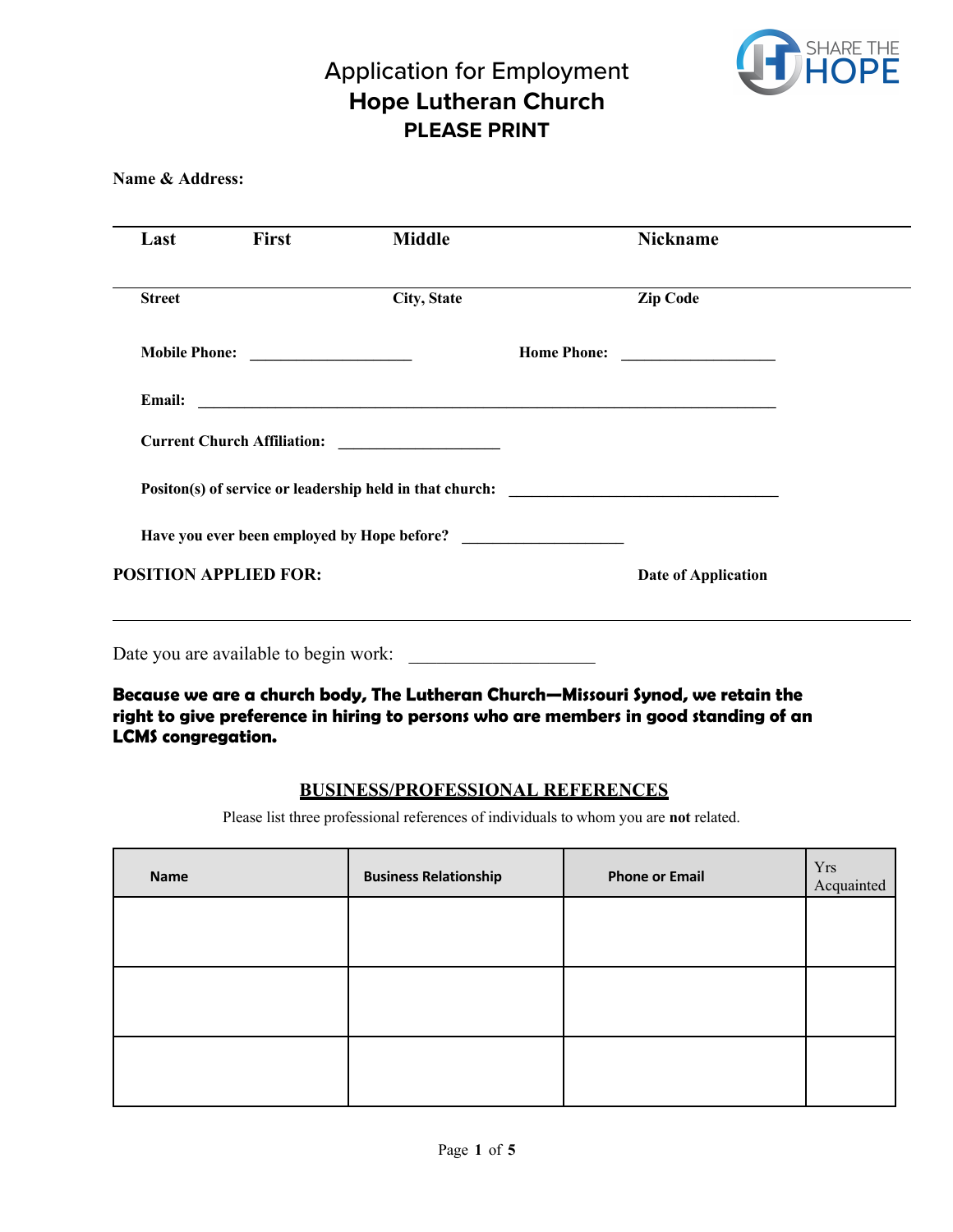

**Name & Address:**

| Last                         | <b>First</b>  | <b>Middle</b>                                                                     |                    | <b>Nickname</b>                         |  |
|------------------------------|---------------|-----------------------------------------------------------------------------------|--------------------|-----------------------------------------|--|
| <b>Street</b>                |               | <b>City, State</b>                                                                |                    | <b>Zip Code</b>                         |  |
|                              | Mobile Phone: |                                                                                   | <b>Home Phone:</b> | <u> 1990 - Johann Barbara, martin a</u> |  |
| <b>Email:</b>                |               |                                                                                   |                    |                                         |  |
|                              |               |                                                                                   |                    |                                         |  |
|                              |               | Positon(s) of service or leadership held in that church: ________________________ |                    |                                         |  |
|                              |               |                                                                                   |                    |                                         |  |
| <b>POSITION APPLIED FOR:</b> |               |                                                                                   |                    | <b>Date of Application</b>              |  |
|                              |               |                                                                                   |                    |                                         |  |

Date you are available to begin work:

**Because we are a church body, The Lutheran Church—Missouri Synod, we retain the right to give preference in hiring to persons who are members in good standing of an LCMS congregation.**

#### **BUSINESS/PROFESSIONAL REFERENCES**

Please list three professional references of individuals to whom you are **not** related.

| <b>Name</b> | <b>Business Relationship</b> | <b>Phone or Email</b> | Yrs<br>Acquainted |
|-------------|------------------------------|-----------------------|-------------------|
|             |                              |                       |                   |
|             |                              |                       |                   |
|             |                              |                       |                   |
|             |                              |                       |                   |
|             |                              |                       |                   |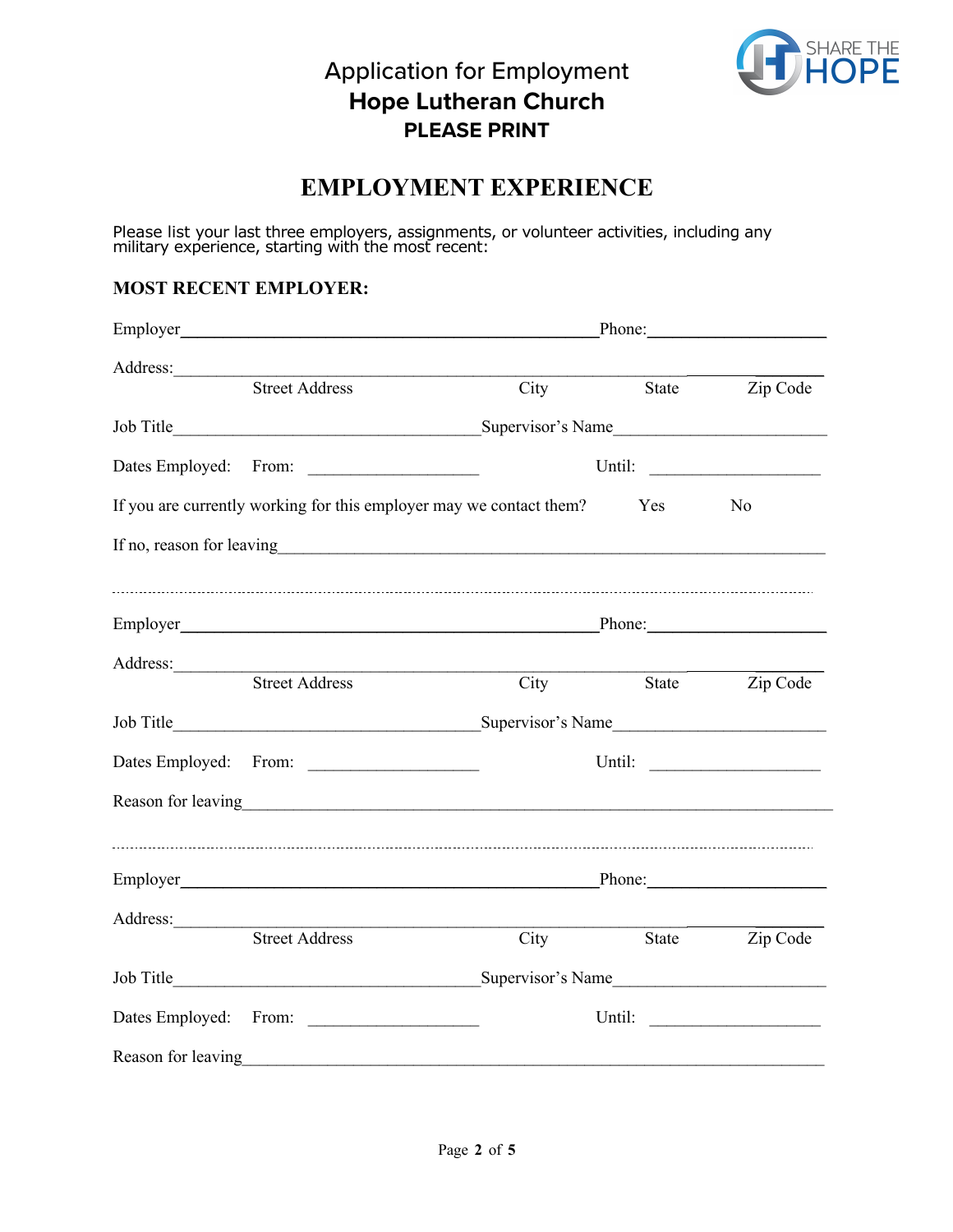

#### **EMPLOYMENT EXPERIENCE**

Please list your last three employers, assignments, or volunteer activities, including any military experience, starting with the most recent:

#### **MOST RECENT EMPLOYER:**

| Address:           |                                                                                                                                                                                                                                |                                                                                                                                                                                                                               |                   |                |  |
|--------------------|--------------------------------------------------------------------------------------------------------------------------------------------------------------------------------------------------------------------------------|-------------------------------------------------------------------------------------------------------------------------------------------------------------------------------------------------------------------------------|-------------------|----------------|--|
|                    | <b>Street Address</b>                                                                                                                                                                                                          | City                                                                                                                                                                                                                          |                   | State Zip Code |  |
|                    |                                                                                                                                                                                                                                |                                                                                                                                                                                                                               |                   |                |  |
|                    |                                                                                                                                                                                                                                |                                                                                                                                                                                                                               |                   |                |  |
|                    | If you are currently working for this employer may we contact them?                                                                                                                                                            |                                                                                                                                                                                                                               | Yes               | No             |  |
|                    |                                                                                                                                                                                                                                |                                                                                                                                                                                                                               |                   |                |  |
|                    | Phone:                                                                                                                                                                                                                         |                                                                                                                                                                                                                               |                   |                |  |
|                    | <b>Street Address</b>                                                                                                                                                                                                          | City                                                                                                                                                                                                                          | State             | Zip Code       |  |
|                    |                                                                                                                                                                                                                                |                                                                                                                                                                                                                               |                   |                |  |
|                    |                                                                                                                                                                                                                                |                                                                                                                                                                                                                               |                   |                |  |
|                    | Reason for leaving example and the state of the state of the state of the state of the state of the state of the state of the state of the state of the state of the state of the state of the state of the state of the state |                                                                                                                                                                                                                               |                   |                |  |
|                    |                                                                                                                                                                                                                                | Phone: Note and the set of the set of the set of the set of the set of the set of the set of the set of the set of the set of the set of the set of the set of the set of the set of the set of the set of the set of the set |                   |                |  |
|                    | Address:<br><b>Street Address</b>                                                                                                                                                                                              | City                                                                                                                                                                                                                          | State             | Zip Code       |  |
|                    |                                                                                                                                                                                                                                |                                                                                                                                                                                                                               | Supervisor's Name |                |  |
|                    |                                                                                                                                                                                                                                |                                                                                                                                                                                                                               |                   |                |  |
| Reason for leaving |                                                                                                                                                                                                                                |                                                                                                                                                                                                                               |                   |                |  |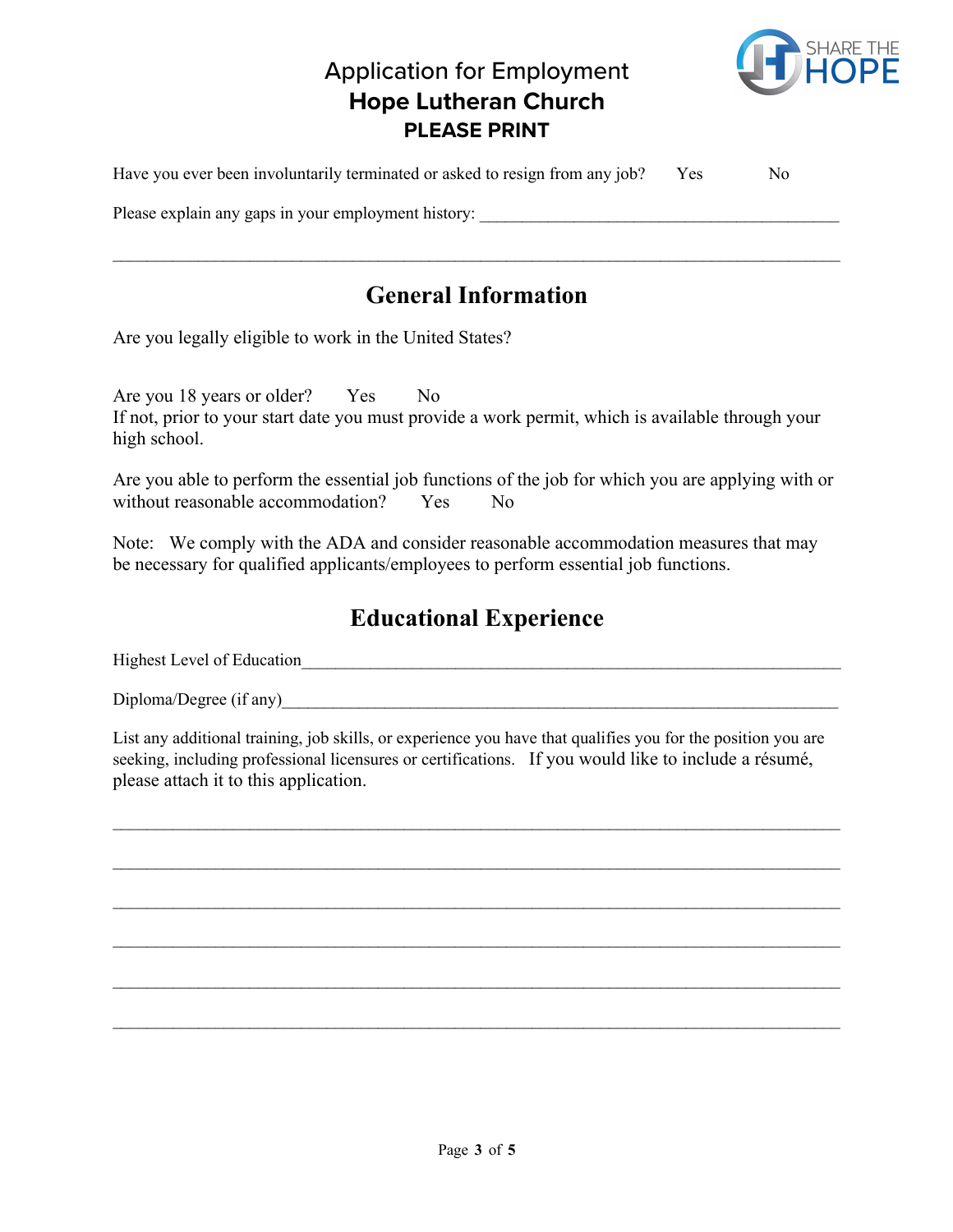

| Have you ever been involuntarily terminated or asked to resign from any job? | Yes | No. |
|------------------------------------------------------------------------------|-----|-----|
| Please explain any gaps in your employment history:                          |     |     |
|                                                                              |     |     |

## **General Information**

Are you legally eligible to work in the United States?

Are you 18 years or older? Yes No If not, prior to your start date you must provide a work permit, which is available through your high school.

Are you able to perform the essential job functions of the job for which you are applying with or without reasonable accommodation? Yes No

Note: We comply with the ADA and consider reasonable accommodation measures that may be necessary for qualified applicants/employees to perform essential job functions.

## **Educational Experience**

Highest Level of Education\_\_\_\_\_\_\_\_\_\_\_\_\_\_\_\_\_\_\_\_\_\_\_\_\_\_\_\_\_\_\_\_\_\_\_\_\_\_\_\_\_\_\_\_\_\_\_\_\_\_\_\_\_\_\_\_\_\_\_\_\_\_\_

Diploma/Degree (if any)

List any additional training, job skills, or experience you have that qualifies you for the position you are seeking, including professional licensures or certifications. If you would like to include a résumé, please attach it to this application.

 $\mathcal{L}_\text{max} = \mathcal{L}_\text{max} = \mathcal{L}_\text{max} = \mathcal{L}_\text{max} = \mathcal{L}_\text{max} = \mathcal{L}_\text{max} = \mathcal{L}_\text{max} = \mathcal{L}_\text{max} = \mathcal{L}_\text{max} = \mathcal{L}_\text{max} = \mathcal{L}_\text{max} = \mathcal{L}_\text{max} = \mathcal{L}_\text{max} = \mathcal{L}_\text{max} = \mathcal{L}_\text{max} = \mathcal{L}_\text{max} = \mathcal{L}_\text{max} = \mathcal{L}_\text{max} = \mathcal{$ 

 $\mathcal{L}_\text{max} = \mathcal{L}_\text{max} = \mathcal{L}_\text{max} = \mathcal{L}_\text{max} = \mathcal{L}_\text{max} = \mathcal{L}_\text{max} = \mathcal{L}_\text{max} = \mathcal{L}_\text{max} = \mathcal{L}_\text{max} = \mathcal{L}_\text{max} = \mathcal{L}_\text{max} = \mathcal{L}_\text{max} = \mathcal{L}_\text{max} = \mathcal{L}_\text{max} = \mathcal{L}_\text{max} = \mathcal{L}_\text{max} = \mathcal{L}_\text{max} = \mathcal{L}_\text{max} = \mathcal{$ 

 $\mathcal{L}_\text{max} = \mathcal{L}_\text{max} = \mathcal{L}_\text{max} = \mathcal{L}_\text{max} = \mathcal{L}_\text{max} = \mathcal{L}_\text{max} = \mathcal{L}_\text{max} = \mathcal{L}_\text{max} = \mathcal{L}_\text{max} = \mathcal{L}_\text{max} = \mathcal{L}_\text{max} = \mathcal{L}_\text{max} = \mathcal{L}_\text{max} = \mathcal{L}_\text{max} = \mathcal{L}_\text{max} = \mathcal{L}_\text{max} = \mathcal{L}_\text{max} = \mathcal{L}_\text{max} = \mathcal{$ 

 $\mathcal{L}_\text{max} = \mathcal{L}_\text{max} = \mathcal{L}_\text{max} = \mathcal{L}_\text{max} = \mathcal{L}_\text{max} = \mathcal{L}_\text{max} = \mathcal{L}_\text{max} = \mathcal{L}_\text{max} = \mathcal{L}_\text{max} = \mathcal{L}_\text{max} = \mathcal{L}_\text{max} = \mathcal{L}_\text{max} = \mathcal{L}_\text{max} = \mathcal{L}_\text{max} = \mathcal{L}_\text{max} = \mathcal{L}_\text{max} = \mathcal{L}_\text{max} = \mathcal{L}_\text{max} = \mathcal{$ 

 $\mathcal{L}_\text{max}$  and  $\mathcal{L}_\text{max}$  and  $\mathcal{L}_\text{max}$  and  $\mathcal{L}_\text{max}$  and  $\mathcal{L}_\text{max}$  and  $\mathcal{L}_\text{max}$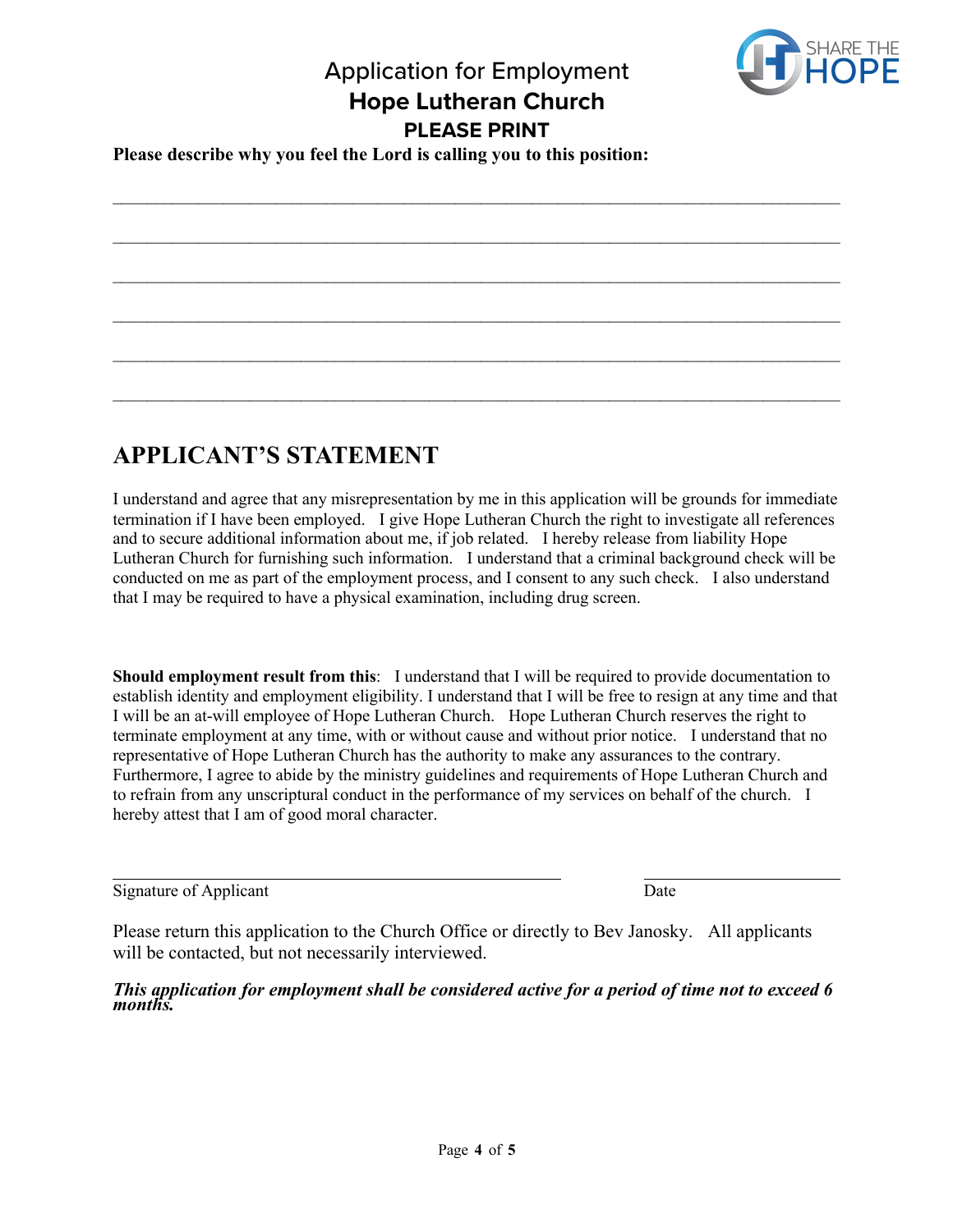$\mathcal{L}_\text{max}$  and  $\mathcal{L}_\text{max}$  and  $\mathcal{L}_\text{max}$  and  $\mathcal{L}_\text{max}$  and  $\mathcal{L}_\text{max}$  and  $\mathcal{L}_\text{max}$ 

 $\mathcal{L}_\text{max} = \mathcal{L}_\text{max} = \mathcal{L}_\text{max} = \mathcal{L}_\text{max} = \mathcal{L}_\text{max} = \mathcal{L}_\text{max} = \mathcal{L}_\text{max} = \mathcal{L}_\text{max} = \mathcal{L}_\text{max} = \mathcal{L}_\text{max} = \mathcal{L}_\text{max} = \mathcal{L}_\text{max} = \mathcal{L}_\text{max} = \mathcal{L}_\text{max} = \mathcal{L}_\text{max} = \mathcal{L}_\text{max} = \mathcal{L}_\text{max} = \mathcal{L}_\text{max} = \mathcal{$ 

 $\mathcal{L}_\text{max}$  and  $\mathcal{L}_\text{max}$  and  $\mathcal{L}_\text{max}$  and  $\mathcal{L}_\text{max}$  and  $\mathcal{L}_\text{max}$  and  $\mathcal{L}_\text{max}$ 

 $\mathcal{L}_\text{max}$  and  $\mathcal{L}_\text{max}$  and  $\mathcal{L}_\text{max}$  and  $\mathcal{L}_\text{max}$  and  $\mathcal{L}_\text{max}$  and  $\mathcal{L}_\text{max}$ 

 $\mathcal{L}_\text{max} = \mathcal{L}_\text{max} = \mathcal{L}_\text{max} = \mathcal{L}_\text{max} = \mathcal{L}_\text{max} = \mathcal{L}_\text{max} = \mathcal{L}_\text{max} = \mathcal{L}_\text{max} = \mathcal{L}_\text{max} = \mathcal{L}_\text{max} = \mathcal{L}_\text{max} = \mathcal{L}_\text{max} = \mathcal{L}_\text{max} = \mathcal{L}_\text{max} = \mathcal{L}_\text{max} = \mathcal{L}_\text{max} = \mathcal{L}_\text{max} = \mathcal{L}_\text{max} = \mathcal{$ 



#### **Please describe why you feel the Lord is calling you to this position:**

# **APPLICANT'S STATEMENT**

I understand and agree that any misrepresentation by me in this application will be grounds for immediate termination if I have been employed. I give Hope Lutheran Church the right to investigate all references and to secure additional information about me, if job related. I hereby release from liability Hope Lutheran Church for furnishing such information. I understand that a criminal background check will be conducted on me as part of the employment process, and I consent to any such check. I also understand that I may be required to have a physical examination, including drug screen.

**Should employment result from this**: I understand that I will be required to provide documentation to establish identity and employment eligibility. I understand that I will be free to resign at any time and that I will be an at-will employee of Hope Lutheran Church. Hope Lutheran Church reserves the right to terminate employment at any time, with or without cause and without prior notice. I understand that no representative of Hope Lutheran Church has the authority to make any assurances to the contrary. Furthermore, I agree to abide by the ministry guidelines and requirements of Hope Lutheran Church and to refrain from any unscriptural conduct in the performance of my services on behalf of the church. I hereby attest that I am of good moral character.

Signature of Applicant Date

Please return this application to the Church Office or directly to Bev Janosky. All applicants will be contacted, but not necessarily interviewed.

*This application for employment shall be considered active for a period of time not to exceed 6 months.*